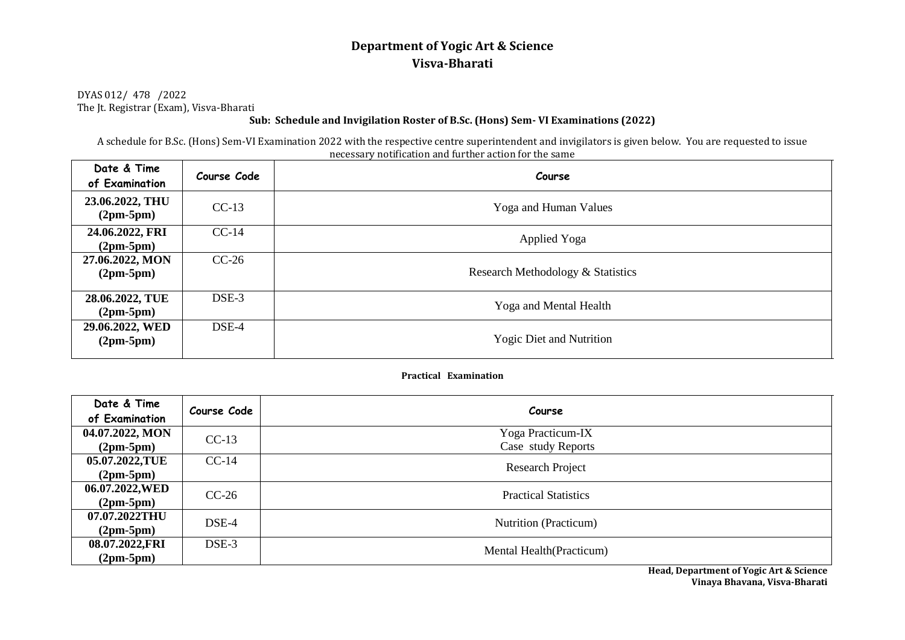# **Department of Yogic Art & Science Visva-Bharati**

DYAS 012/ 478 /2022 The Jt. Registrar (Exam), Visva-Bharati

### **Sub: Schedule and Invigilation Roster of B.Sc. (Hons) Sem- VI Examinations (2022)**

A schedule for B.Sc. (Hons) Sem-VI Examination 2022 with the respective centre superintendent and invigilators is given below. You are requested to issue necessary notification and further action for the same

| Date & Time<br>of Examination  | Course Code | Course                            |
|--------------------------------|-------------|-----------------------------------|
| 23.06.2022, THU<br>$(2pm-5pm)$ | $CC-13$     | Yoga and Human Values             |
| 24.06.2022, FRI<br>$(2pm-5pm)$ | $CC-14$     | Applied Yoga                      |
| 27.06.2022, MON<br>$(2pm-5pm)$ | $CC-26$     | Research Methodology & Statistics |
| 28.06.2022, TUE<br>$(2pm-5pm)$ | $DSE-3$     | Yoga and Mental Health            |
| 29.06.2022, WED<br>$(2pm-5pm)$ | $DSE-4$     | <b>Yogic Diet and Nutrition</b>   |

#### **Practical Examination**

| Date & Time<br>of Examination | Course Code | Course                      |
|-------------------------------|-------------|-----------------------------|
| 04.07.2022, MON               | $CC-13$     | Yoga Practicum-IX           |
| $(2pm-5pm)$                   |             | Case study Reports          |
| 05.07.2022,TUE                | $CC-14$     | <b>Research Project</b>     |
| $(2pm-5pm)$                   |             |                             |
| 06.07.2022, WED               | $CC-26$     | <b>Practical Statistics</b> |
| $(2pm-5pm)$                   |             |                             |
| 07.07.2022THU                 | $DSE-4$     | Nutrition (Practicum)       |
| $(2pm-5pm)$                   |             |                             |
| 08.07.2022,FRI                | DSE-3       | Mental Health (Practicum)   |
| $(2pm-5pm)$                   |             |                             |

**Head, Department of Yogic Art & Science Vinaya Bhavana, Visva-Bharati**